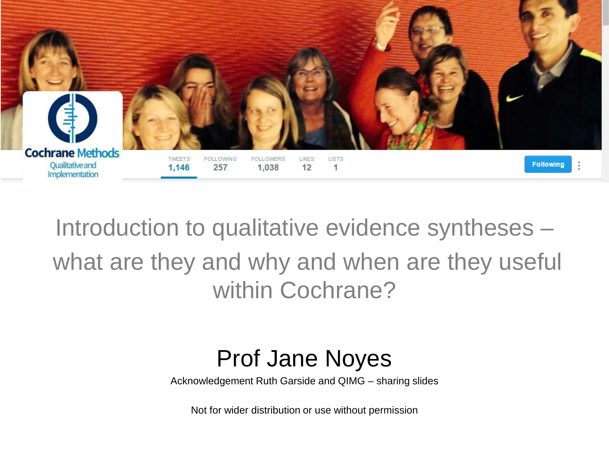

Introduction to qualitative evidence syntheses – what are they and why and when are they useful within Cochrane?

### Prof Jane Noyes

Acknowledgement Ruth Garside and QIMG – sharing slides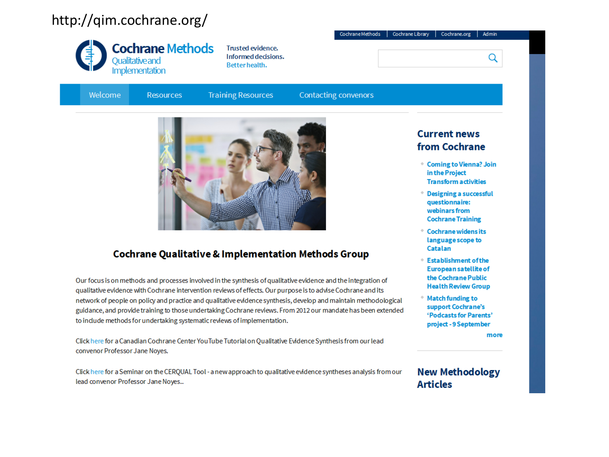### http://qim.cochrane.org/



**Trusted evidence.** Informed decisions. Better health.

Welcome

**Training Resources Resources** 

**Contacting convenors** 

Cochrane Methods

Cochrane Library



#### **Cochrane Qualitative & Implementation Methods Group**

Our focus is on methods and processes involved in the synthesis of qualitative evidence and the integration of qualitative evidence with Cochrane intervention reviews of effects. Our purpose is to advise Cochrane and its network of people on policy and practice and qualitative evidence synthesis, develop and maintain methodological guidance, and provide training to those undertaking Cochrane reviews. From 2012 our mandate has been extended to include methods for undertaking systematic reviews of implementation.

Click here for a Canadian Cochrane Center You Tube Tutorial on Qualitative Evidence Synthesis from our lead convenor Professor Jane Noyes.

Click here for a Seminar on the CERQUAL Tool - a new approach to qualitative evidence syntheses analysis from our lead convenor Professor Jane Noyes..

#### **Current news** from Cochrane

Cochrane.org

**Admin** 

Q

- Coming to Vienna? Join in the Project **Transform activities**
- **Designing a successful** questionnaire: webinars from **Cochrane Training**
- **Cochrane widens its** language scope to Catalan
- **Establishment of the** European satellite of the Cochrane Public **Health Review Group**
- **Match funding to** support Cochrane's 'Podcasts for Parents' project - 9 September

more

#### **New Methodology Articles**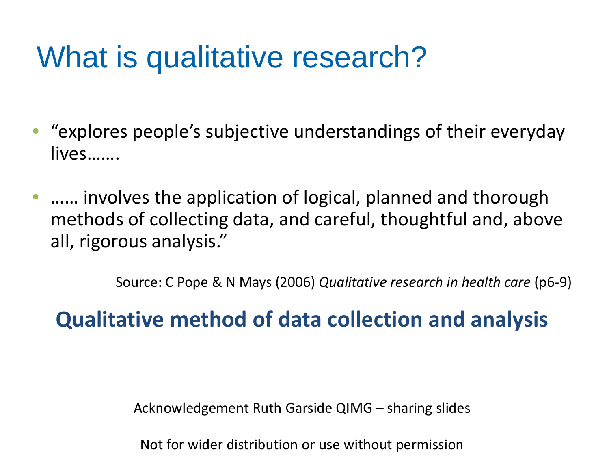## What is qualitative research?

- "explores people's subjective understandings of their everyday lives…….
- …… involves the application of logical, planned and thorough methods of collecting data, and careful, thoughtful and, above all, rigorous analysis."

Source: C Pope & N Mays (2006) *Qualitative research in health care* (p6-9)

### **Qualitative method of data collection and analysis**

Acknowledgement Ruth Garside QIMG – sharing slides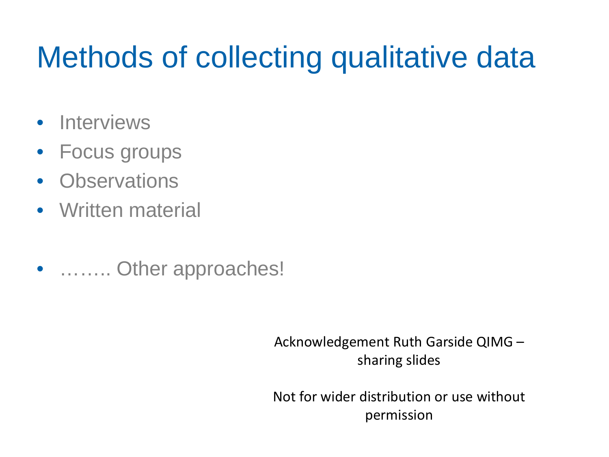## Methods of collecting qualitative data

- Interviews
- Focus groups
- Observations
- Written material
- ……… Other approaches!

Acknowledgement Ruth Garside QIMG – sharing slides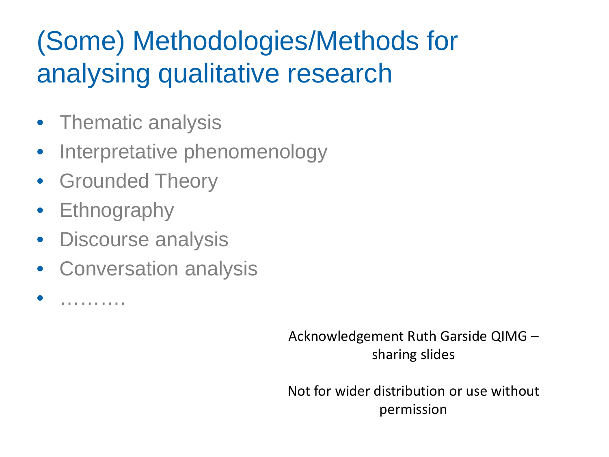## (Some) Methodologies/Methods for analysing qualitative research

- Thematic analysis
- Interpretative phenomenology
- Grounded Theory
- Ethnography
- Discourse analysis
- Conversation analysis

• ……….

Acknowledgement Ruth Garside QIMG – sharing slides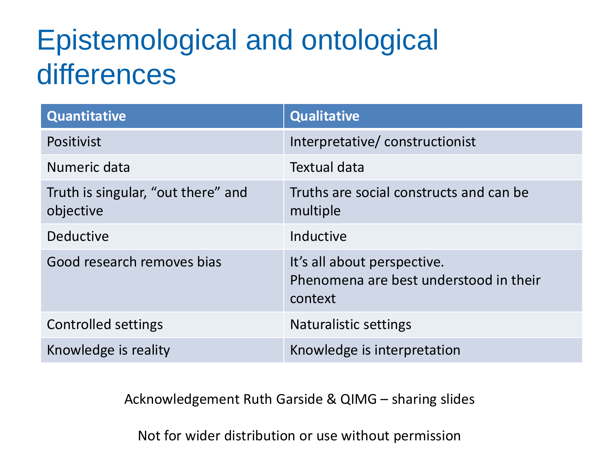## Epistemological and ontological differences

| <b>Quantitative</b>                             | <b>Qualitative</b>                                                               |
|-------------------------------------------------|----------------------------------------------------------------------------------|
| Positivist                                      | Interpretative/constructionist                                                   |
| Numeric data                                    | Textual data                                                                     |
| Truth is singular, "out there" and<br>objective | Truths are social constructs and can be<br>multiple                              |
| <b>Deductive</b>                                | Inductive                                                                        |
| Good research removes bias                      | It's all about perspective.<br>Phenomena are best understood in their<br>context |
| <b>Controlled settings</b>                      | <b>Naturalistic settings</b>                                                     |
| Knowledge is reality                            | Knowledge is interpretation                                                      |

Acknowledgement Ruth Garside & QIMG – sharing slides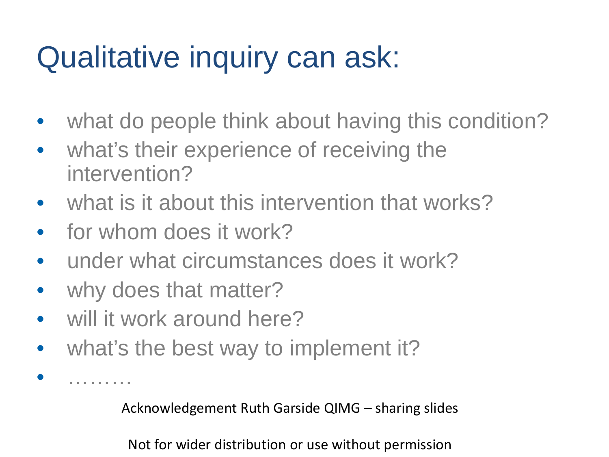## Qualitative inquiry can ask:

- what do people think about having this condition?
- what's their experience of receiving the intervention?
- what is it about this intervention that works?
- for whom does it work?
- under what circumstances does it work?
- why does that matter?

• ………

- will it work around here?
- what's the best way to implement it?

Acknowledgement Ruth Garside QIMG – sharing slides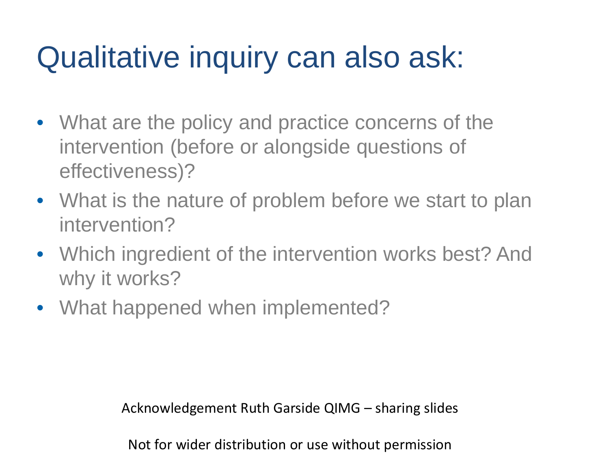## Qualitative inquiry can also ask:

- What are the policy and practice concerns of the intervention (before or alongside questions of effectiveness)?
- What is the nature of problem before we start to plan intervention?
- Which ingredient of the intervention works best? And why it works?
- What happened when implemented?

Acknowledgement Ruth Garside QIMG – sharing slides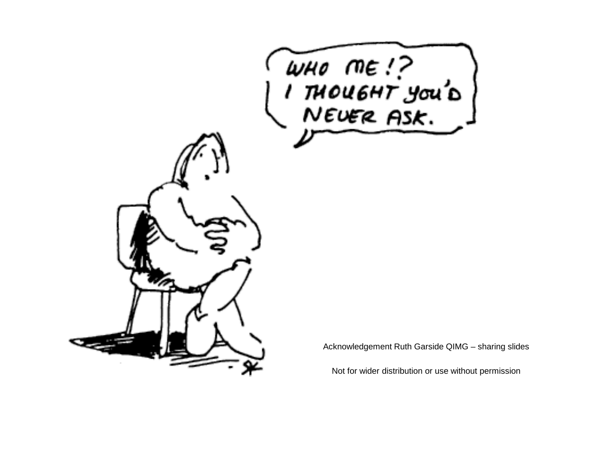

Acknowledgement Ruth Garside QIMG – sharing slides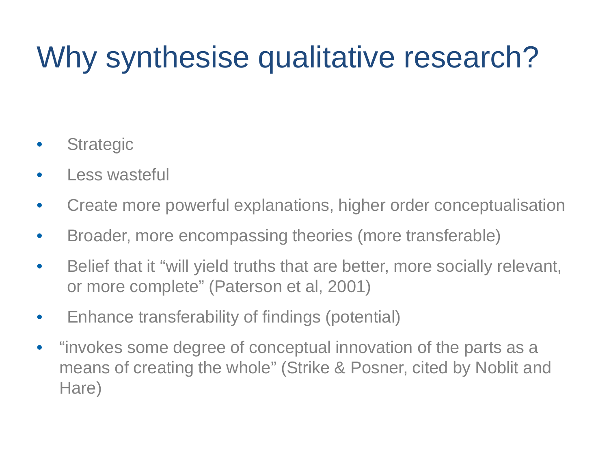## Why synthesise qualitative research?

- **Strategic**
- Less wasteful
- Create more powerful explanations, higher order conceptualisation
- Broader, more encompassing theories (more transferable)
- Belief that it "will yield truths that are better, more socially relevant, or more complete" (Paterson et al, 2001)
- Enhance transferability of findings (potential)
- "invokes some degree of conceptual innovation of the parts as a means of creating the whole" (Strike & Posner, cited by Noblit and Hare)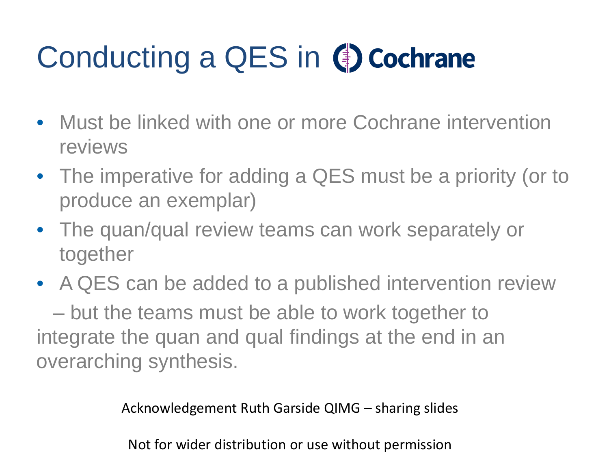# Conducting a QES in (cochrane

- Must be linked with one or more Cochrane intervention reviews
- The imperative for adding a QES must be a priority (or to produce an exemplar)
- The quan/qual review teams can work separately or together
- A QES can be added to a published intervention review

– but the teams must be able to work together to integrate the quan and qual findings at the end in an overarching synthesis.

Acknowledgement Ruth Garside QIMG – sharing slides